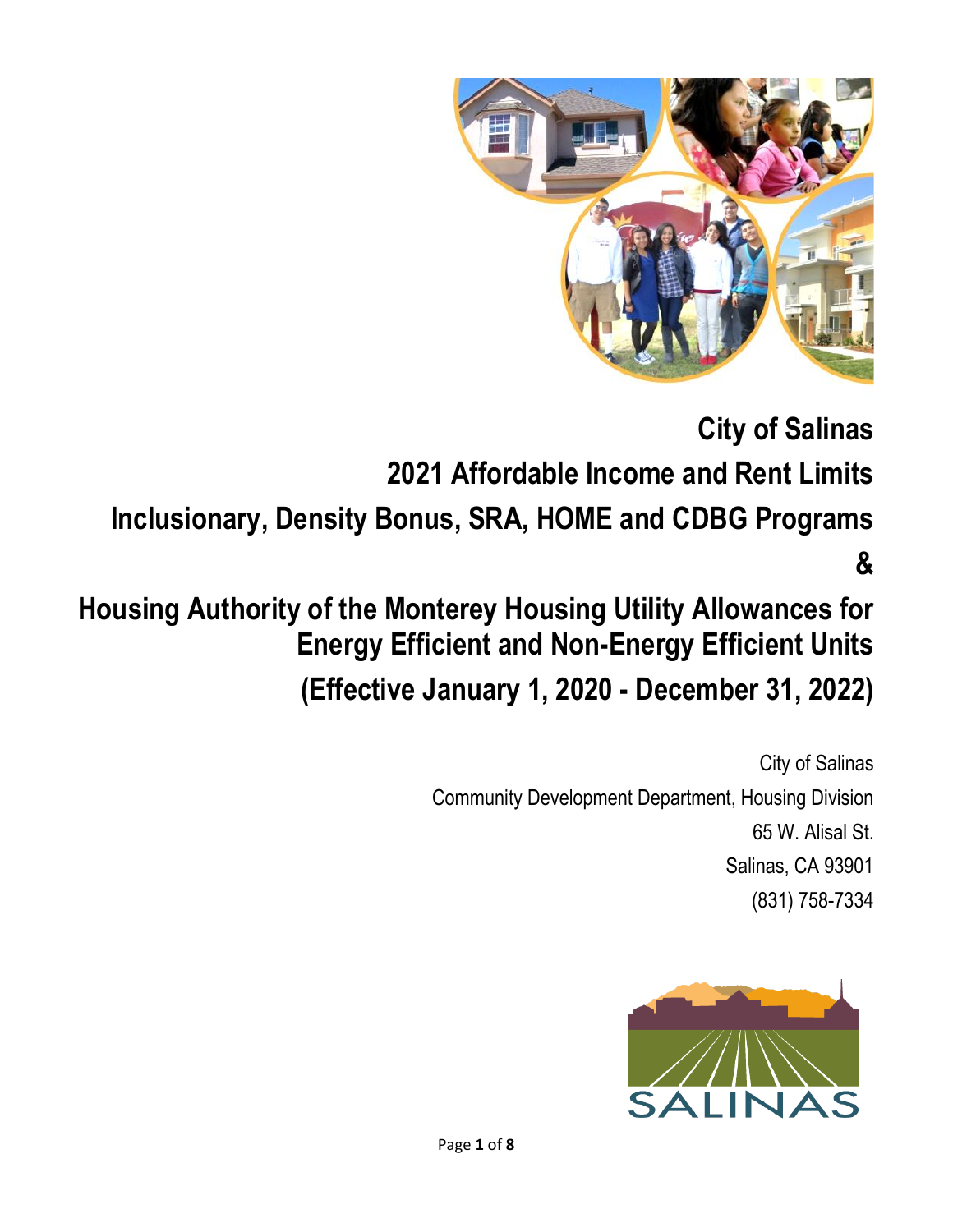

**City of Salinas 2021 Affordable Income and Rent Limits Inclusionary, Density Bonus, SRA, HOME and CDBG Programs &** 

# **Housing Authority of the Monterey Housing Utility Allowances for Energy Efficient and Non-Energy Efficient Units (Effective January 1, 2020 - December 31, 2022)**

City of Salinas Community Development Department, Housing Division 65 W. Alisal St. Salinas, CA 93901 (831) 758-7334

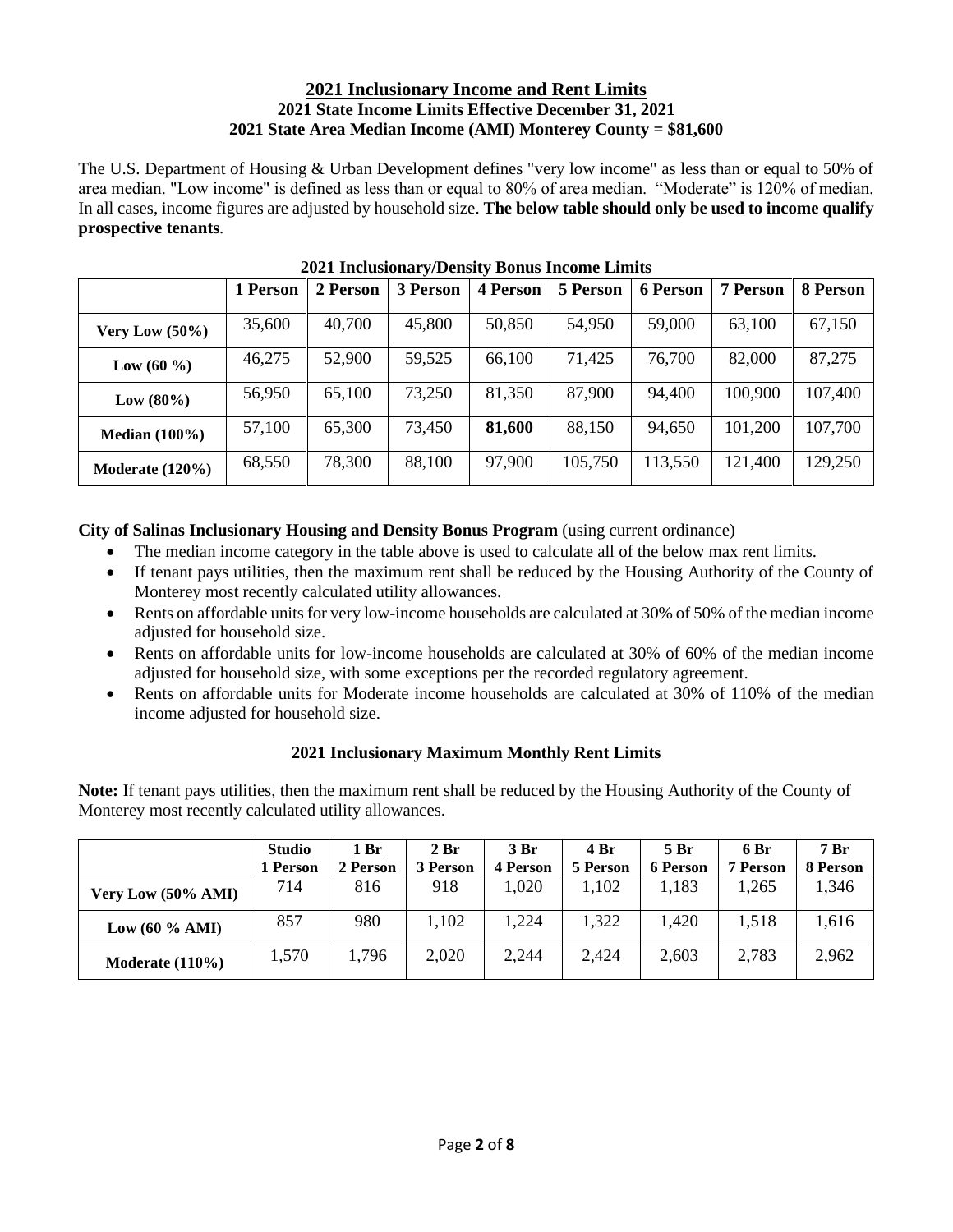### **2021 Inclusionary Income and Rent Limits 2021 State Income Limits Effective December 31, 2021 2021 State Area Median Income (AMI) Monterey County = \$81,600**

The U.S. Department of Housing & Urban Development defines "very low income" as less than or equal to 50% of area median. "Low income" is defined as less than or equal to 80% of area median. "Moderate" is 120% of median. In all cases, income figures are adjusted by household size. **The below table should only be used to income qualify prospective tenants***.* 

|                    | 1 Person | 2 Person | <b>3 Person</b> | <b>4 Person</b> | 5 Person | <b>6 Person</b> | <b>7 Person</b> | 8 Person |
|--------------------|----------|----------|-----------------|-----------------|----------|-----------------|-----------------|----------|
| Very Low $(50\%)$  | 35,600   | 40,700   | 45,800          | 50,850          | 54,950   | 59,000          | 63,100          | 67,150   |
| Low (60 %)         | 46,275   | 52,900   | 59,525          | 66,100          | 71,425   | 76,700          | 82,000          | 87,275   |
| Low (80%)          | 56,950   | 65,100   | 73,250          | 81,350          | 87,900   | 94,400          | 100,900         | 107,400  |
| Median $(100\%)$   | 57,100   | 65,300   | 73,450          | 81,600          | 88,150   | 94,650          | 101,200         | 107,700  |
| Moderate $(120\%)$ | 68,550   | 78,300   | 88,100          | 97,900          | 105,750  | 113,550         | 121,400         | 129,250  |

**2021 Inclusionary/Density Bonus Income Limits**

# **City of Salinas Inclusionary Housing and Density Bonus Program** (using current ordinance)

- The median income category in the table above is used to calculate all of the below max rent limits.
- If tenant pays utilities, then the maximum rent shall be reduced by the Housing Authority of the County of Monterey most recently calculated utility allowances.
- Rents on affordable units for very low-income households are calculated at 30% of 50% of the median income adjusted for household size.
- Rents on affordable units for low-income households are calculated at 30% of 60% of the median income adjusted for household size, with some exceptions per the recorded regulatory agreement.
- Rents on affordable units for Moderate income households are calculated at 30% of 110% of the median income adjusted for household size.

# **2021 Inclusionary Maximum Monthly Rent Limits**

**Note:** If tenant pays utilities, then the maximum rent shall be reduced by the Housing Authority of the County of Monterey most recently calculated utility allowances.

|                    | <b>Studio</b> | 1 Br     | <u>2 Br</u> | <u> 3 Br</u>    | 4 Br     | <u>5 Br</u>     | <u>6 Br</u>     | <u>7 Br</u> |
|--------------------|---------------|----------|-------------|-----------------|----------|-----------------|-----------------|-------------|
|                    | 1 Person      | 2 Person | 3 Person    | <b>4 Person</b> | 5 Person | <b>6 Person</b> | <b>7 Person</b> | 8 Person    |
| Very Low (50% AMI) | 714           | 816      | 918         | .020            | 1,102    | 1,183           | l.265           | 1,346       |
| Low $(60 \% AMI)$  | 857           | 980      | 1,102       | 1,224           | 1,322    | 1,420           | 1,518           | 1,616       |
| Moderate $(110\%)$ | 1,570         | 1,796    | 2,020       | 2,244           | 2,424    | 2,603           | 2,783           | 2,962       |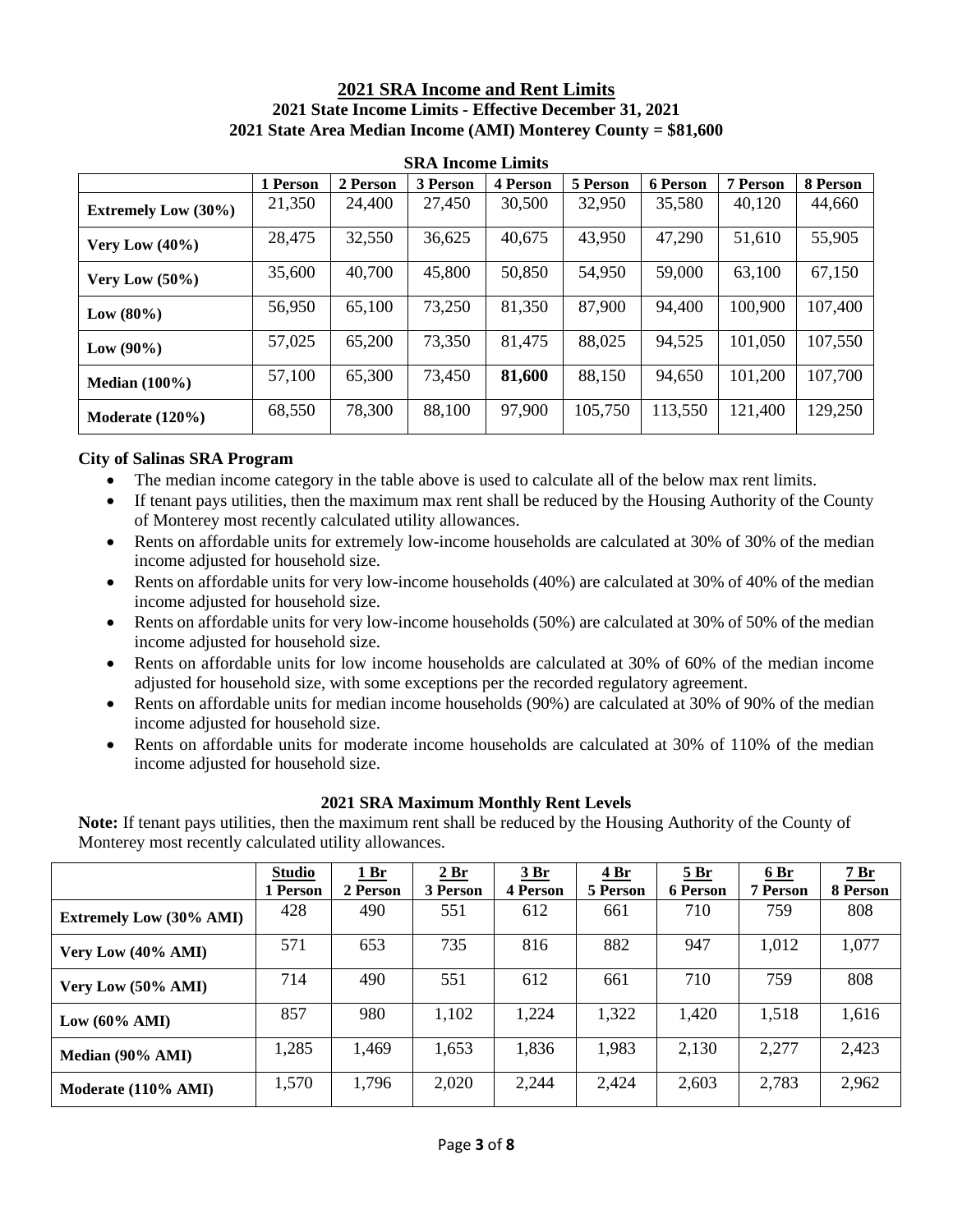#### **2021 SRA Income and Rent Limits 2021 State Income Limits - Effective December 31, 2021 2021 State Area Median Income (AMI) Monterey County = \$81,600**

|                            | 1 Person | 2 Person | 3 Person | <b>4 Person</b> | 5 Person | 6 Person | 7 Person | 8 Person |  |
|----------------------------|----------|----------|----------|-----------------|----------|----------|----------|----------|--|
| <b>Extremely Low (30%)</b> | 21,350   | 24,400   | 27,450   | 30,500          | 32,950   | 35,580   | 40,120   | 44,660   |  |
| Very Low $(40\%)$          | 28,475   | 32,550   | 36,625   | 40,675          | 43,950   | 47,290   | 51,610   | 55,905   |  |
| Very Low $(50\%)$          | 35,600   | 40,700   | 45,800   | 50,850          | 54,950   | 59,000   | 63,100   | 67,150   |  |
| Low $(80\%)$               | 56,950   | 65,100   | 73,250   | 81,350          | 87,900   | 94,400   | 100,900  | 107,400  |  |
| $Low (90\%)$               | 57,025   | 65,200   | 73,350   | 81,475          | 88,025   | 94,525   | 101,050  | 107,550  |  |
| Median $(100\%)$           | 57,100   | 65,300   | 73,450   | 81,600          | 88,150   | 94,650   | 101,200  | 107,700  |  |
| Moderate $(120\%)$         | 68,550   | 78,300   | 88,100   | 97,900          | 105,750  | 113,550  | 121,400  | 129,250  |  |

**SRA Income Limits**

#### **City of Salinas SRA Program**

- The median income category in the table above is used to calculate all of the below max rent limits.
- If tenant pays utilities, then the maximum max rent shall be reduced by the Housing Authority of the County of Monterey most recently calculated utility allowances.
- Rents on affordable units for extremely low-income households are calculated at 30% of 30% of the median income adjusted for household size.
- Rents on affordable units for very low-income households (40%) are calculated at 30% of 40% of the median income adjusted for household size.
- Rents on affordable units for very low-income households (50%) are calculated at 30% of 50% of the median income adjusted for household size.
- Rents on affordable units for low income households are calculated at 30% of 60% of the median income adjusted for household size, with some exceptions per the recorded regulatory agreement.
- Rents on affordable units for median income households (90%) are calculated at 30% of 90% of the median income adjusted for household size.
- Rents on affordable units for moderate income households are calculated at 30% of 110% of the median income adjusted for household size.

#### **2021 SRA Maximum Monthly Rent Levels**

**Note:** If tenant pays utilities, then the maximum rent shall be reduced by the Housing Authority of the County of Monterey most recently calculated utility allowances.

|                                | <b>Studio</b><br>1 Person | 1Br<br>2 Person | 2 Br<br>3 Person | 3Br<br>4 Person | <u>4 Br</u><br>5 Person | 5Br<br>6 Person | 6Br<br><b>7 Person</b> | 7Br<br>8 Person |
|--------------------------------|---------------------------|-----------------|------------------|-----------------|-------------------------|-----------------|------------------------|-----------------|
| <b>Extremely Low (30% AMI)</b> | 428                       | 490             | 551              | 612             | 661                     | 710             | 759                    | 808             |
| Very Low (40% AMI)             | 571                       | 653             | 735              | 816             | 882                     | 947             | 1,012                  | 1,077           |
| Very Low (50% AMI)             | 714                       | 490             | 551              | 612             | 661                     | 710             | 759                    | 808             |
| Low $(60\% \text{ AMI})$       | 857                       | 980             | 1,102            | 1,224           | 1,322                   | 1,420           | 1,518                  | 1,616           |
| Median (90% AMI)               | 1,285                     | 1,469           | 1,653            | 1,836           | 1,983                   | 2,130           | 2,277                  | 2,423           |
| Moderate (110% AMI)            | 1,570                     | 1,796           | 2,020            | 2,244           | 2,424                   | 2,603           | 2,783                  | 2,962           |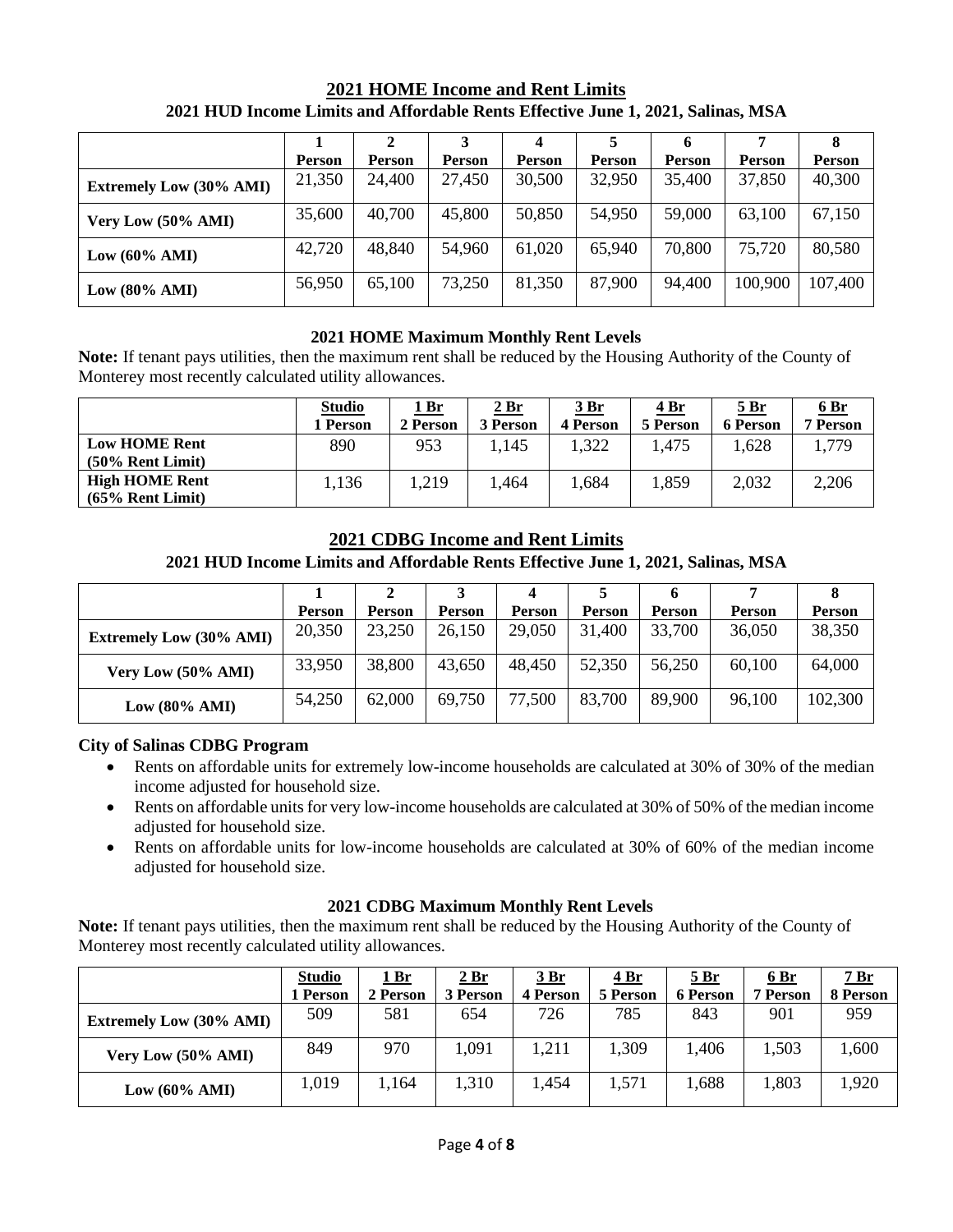|                                | <b>Person</b> | <b>Person</b> | Person | <b>Person</b> | <b>Person</b> | <b>Person</b> | <b>Person</b> | <b>Person</b> |
|--------------------------------|---------------|---------------|--------|---------------|---------------|---------------|---------------|---------------|
| <b>Extremely Low (30% AMI)</b> | 21,350        | 24,400        | 27,450 | 30,500        | 32,950        | 35,400        | 37,850        | 40,300        |
| Very Low (50% AMI)             | 35,600        | 40,700        | 45,800 | 50,850        | 54,950        | 59,000        | 63,100        | 67,150        |
| Low $(60\% \text{ AMI})$       | 42,720        | 48,840        | 54,960 | 61,020        | 65,940        | 70,800        | 75,720        | 80,580        |
| Low $(80\% \text{ AMI})$       | 56,950        | 65,100        | 73,250 | 81,350        | 87,900        | 94,400        | 100,900       | 107,400       |

### **2021 HOME Income and Rent Limits 2021 HUD Income Limits and Affordable Rents Effective June 1, 2021, Salinas, MSA**

### **2021 HOME Maximum Monthly Rent Levels**

**Note:** If tenant pays utilities, then the maximum rent shall be reduced by the Housing Authority of the County of Monterey most recently calculated utility allowances.

|                                              | <b>Studio</b><br>l <b>Person</b> | <u> 1 Br</u><br>2 Person | <u> 2 Br</u><br>3 Person | <u>3 Br</u><br>4 Person | <u>4 Br</u><br>5 Person | <u>5 Br</u><br>6 Person | 6Br<br><b>7 Person</b> |
|----------------------------------------------|----------------------------------|--------------------------|--------------------------|-------------------------|-------------------------|-------------------------|------------------------|
| <b>Low HOME Rent</b><br>$(50\%$ Rent Limit)  | 890                              | 953                      | 1,145                    | 1.322                   | 1,475                   | 1,628                   | 1,779                  |
| <b>High HOME Rent</b><br>$(65\%$ Rent Limit) | 1,136                            | .,219                    | 1,464                    | 1,684                   | 1,859                   | 2,032                   | 2,206                  |

### **2021 CDBG Income and Rent Limits**

#### **2021 HUD Income Limits and Affordable Rents Effective June 1, 2021, Salinas, MSA**

|                                | <b>Person</b> | <b>Person</b> | <b>Person</b> | <b>Person</b> | <b>Person</b> | <b>Person</b> | <b>Person</b> | <b>Person</b> |
|--------------------------------|---------------|---------------|---------------|---------------|---------------|---------------|---------------|---------------|
| <b>Extremely Low (30% AMI)</b> | 20,350        | 23,250        | 26,150        | 29,050        | 31,400        | 33,700        | 36,050        | 38,350        |
| Very Low (50% AMI)             | 33,950        | 38,800        | 43,650        | 48,450        | 52,350        | 56,250        | 60,100        | 64,000        |
| Low $(80\% \text{ AMI})$       | 54,250        | 62,000        | 69,750        | 77,500        | 83,700        | 89,900        | 96,100        | 102,300       |

#### **City of Salinas CDBG Program**

- Rents on affordable units for extremely low-income households are calculated at 30% of 30% of the median income adjusted for household size.
- Rents on affordable units for very low-income households are calculated at 30% of 50% of the median income adjusted for household size.
- Rents on affordable units for low-income households are calculated at 30% of 60% of the median income adjusted for household size.

#### **2021 CDBG Maximum Monthly Rent Levels**

**Note:** If tenant pays utilities, then the maximum rent shall be reduced by the Housing Authority of the County of Monterey most recently calculated utility allowances.

|                                | <b>Studio</b> | <u> 1 Br</u> | <u>2 Br</u> | <u> 3 Br</u>    | <u>4 Br</u> | <u>5 Br</u>     | 6Br             | <u> 7 Br</u> |
|--------------------------------|---------------|--------------|-------------|-----------------|-------------|-----------------|-----------------|--------------|
|                                | 1 Person      | 2 Person     | 3 Person    | <b>4 Person</b> | 5 Person    | <b>6 Person</b> | <b>7 Person</b> | 8 Person     |
| <b>Extremely Low (30% AMI)</b> | 509           | 581          | 654         | 726             | 785         | 843             | 901             | 959          |
| Very Low (50% AMI)             | 849           | 970          | 1,091       | 1,211           | .309        | 1,406           | 1,503           | 1,600        |
| Low $(60\% \text{ AMI})$       | 1,019         | 1,164        | 1,310       | 1,454           | 1,571       | 1,688           | 1,803           | 1,920        |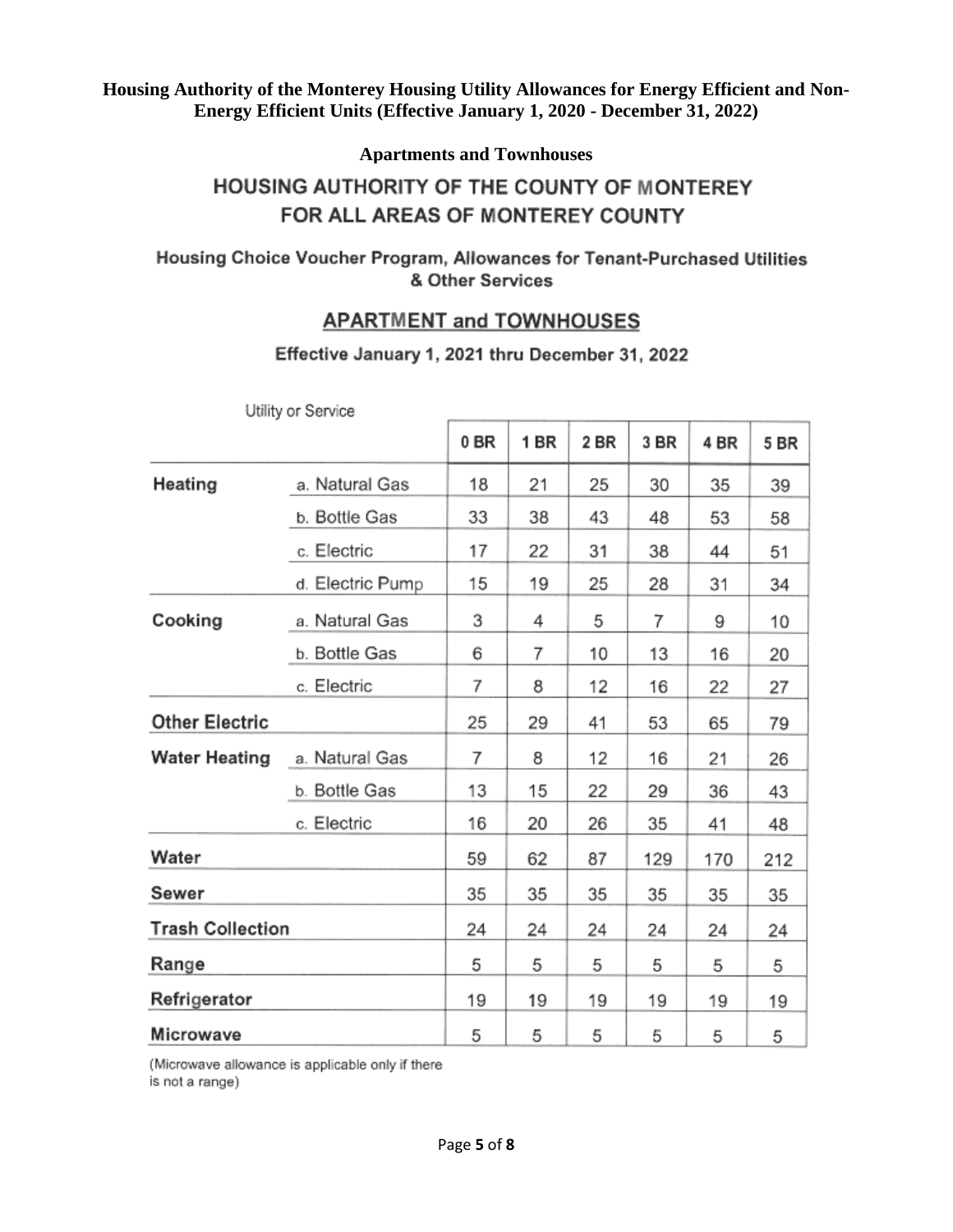### **Apartments and Townhouses**

# HOUSING AUTHORITY OF THE COUNTY OF MONTEREY FOR ALL AREAS OF MONTEREY COUNTY

# Housing Choice Voucher Program, Allowances for Tenant-Purchased Utilities & Other Services

# APARTMENT and TOWNHOUSES

# Effective January 1, 2021 thru December 31, 2022

|                         | <b>OWINY OF OCLYTUG</b> |      |      |      |      |      |      |
|-------------------------|-------------------------|------|------|------|------|------|------|
|                         |                         | 0 BR | 1 BR | 2 BR | 3 BR | 4 BR | 5 BR |
| Heating                 | a. Natural Gas          | 18   | 21   | 25   | 30   | 35   | 39   |
|                         | b. Bottle Gas           | 33   | 38   | 43   | 48   | 53   | 58   |
|                         | c. Electric             | 17   | 22   | 31   | 38   | 44   | 51   |
|                         | d. Electric Pump        | 15   | 19   | 25   | 28   | 31   | 34   |
| Cooking                 | a. Natural Gas          | 3    | 4    | 5    | 7    | 9    | 10   |
|                         | b. Bottle Gas           | 6    | 7    | 10   | 13   | 16   | 20   |
|                         | c. Electric             | 7    | 8    | 12   | 16   | 22   | 27   |
| <b>Other Electric</b>   |                         | 25   | 29   | 41   | 53   | 65   | 79   |
| <b>Water Heating</b>    | a. Natural Gas          | 7    | 8    | 12   | 16   | 21   | 26   |
|                         | b. Bottle Gas           | 13   | 15   | 22   | 29   | 36   | 43   |
|                         | c. Electric             | 16   | 20   | 26   | 35   | 41   | 48   |
| Water                   |                         | 59   | 62   | 87   | 129  | 170  | 212  |
| Sewer                   |                         | 35   | 35   | 35   | 35   | 35   | 35   |
| <b>Trash Collection</b> |                         | 24   | 24   | 24   | 24   | 24   | 24   |
| Range                   |                         | 5    | 5    | 5    | 5    | 5    | 5    |
| Refrigerator            |                         | 19   | 19   | 19   | 19   | 19   | 19   |
| Microwave               |                         | 5    | 5    | 5    | 5    | 5    | 5    |

Utility or Service

(Microwave allowance is applicable only if there is not a range)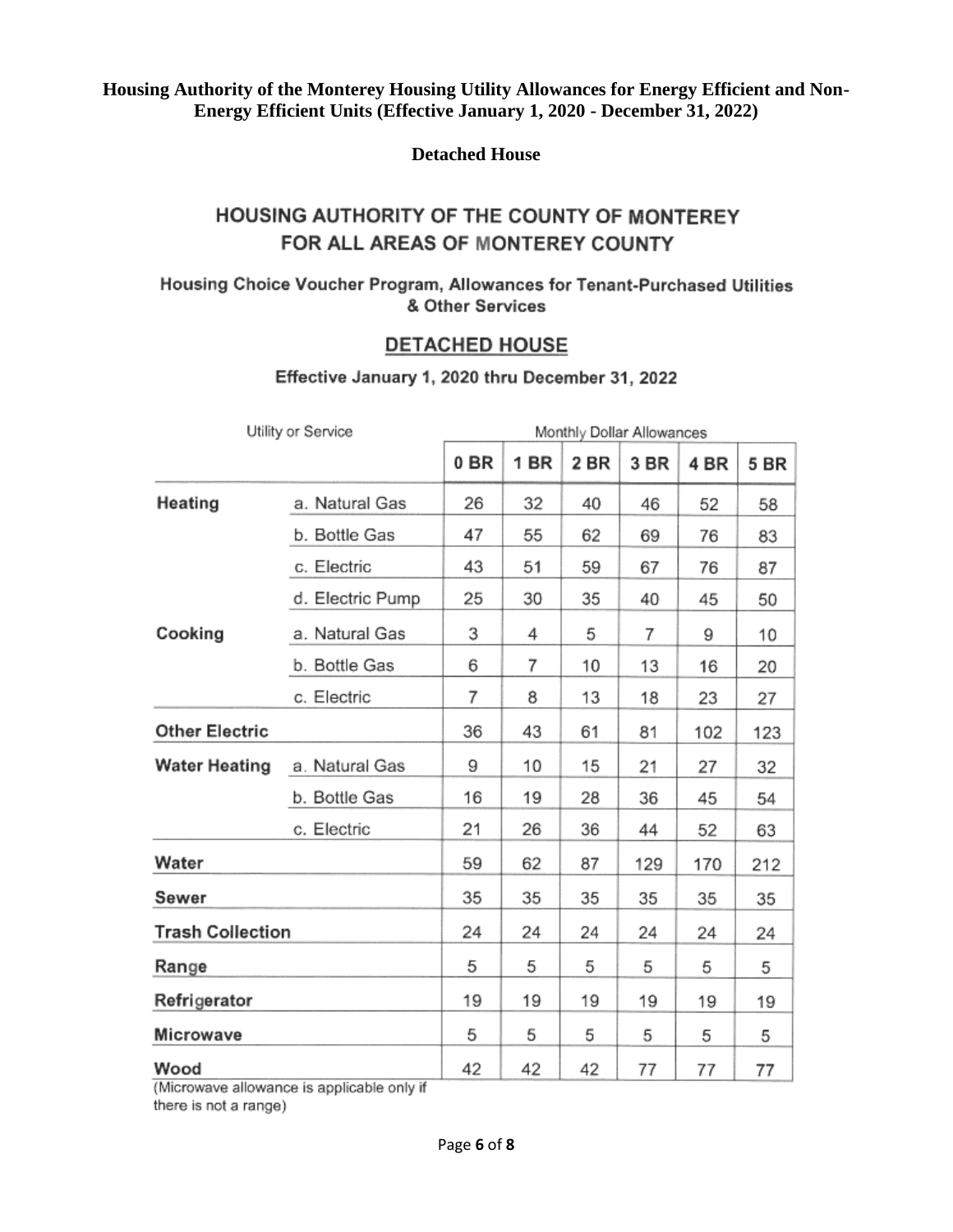**Detached House**

# HOUSING AUTHORITY OF THE COUNTY OF MONTEREY FOR ALL AREAS OF MONTEREY COUNTY

Housing Choice Voucher Program, Allowances for Tenant-Purchased Utilities & Other Services

# **DETACHED HOUSE**

|                         | Utility or Service |      |      |      | Monthly Dollar Allowances |      |      |
|-------------------------|--------------------|------|------|------|---------------------------|------|------|
|                         |                    | 0 BR | 1 BR | 2 BR | 3 BR                      | 4 BR | 5 BR |
| Heating                 | a. Natural Gas     | 26   | 32   | 40   | 46                        | 52   | 58   |
|                         | b. Bottle Gas      | 47   | 55   | 62   | 69                        | 76   | 83   |
|                         | c. Electric        | 43   | 51   | 59   | 67                        | 76   | 87   |
|                         | d. Electric Pump   | 25   | 30   | 35   | 40                        | 45   | 50   |
| Cooking                 | a. Natural Gas     | 3    | 4    | 5    | 7                         | 9    | 10   |
|                         | b. Bottle Gas      | 6    | 7    | 10   | 13                        | 16   | 20   |
|                         | c. Electric        | 7    | 8    | 13   | 18                        | 23   | 27   |
| <b>Other Electric</b>   |                    | 36   | 43   | 61   | 81                        | 102  | 123  |
| <b>Water Heating</b>    | a. Natural Gas     | 9    | 10   | 15   | 21                        | 27   | 32   |
|                         | b. Bottle Gas      | 16   | 19   | 28   | 36                        | 45   | 54   |
|                         | c. Electric        | 21   | 26   | 36   | 44                        | 52   | 63   |
| Water                   |                    | 59   | 62   | 87   | 129                       | 170  | 212  |
| Sewer                   |                    | 35   | 35   | 35   | 35                        | 35   | 35   |
| <b>Trash Collection</b> |                    | 24   | 24   | 24   | 24                        | 24   | 24   |
| Range                   |                    | 5    | 5    | 5    | 5                         | 5    | 5    |
| Refrigerator            |                    | 19   | 19   | 19   | 19                        | 19   | 19   |
| Microwave               |                    | 5    | 5    | 5    | 5                         | 5    | 5    |
| Wood                    |                    | 42   | 42   | 42   | 77                        | 77   | 77   |

#### Effective January 1, 2020 thru December 31, 2022

(Microwave allowance is applicable only if there is not a range)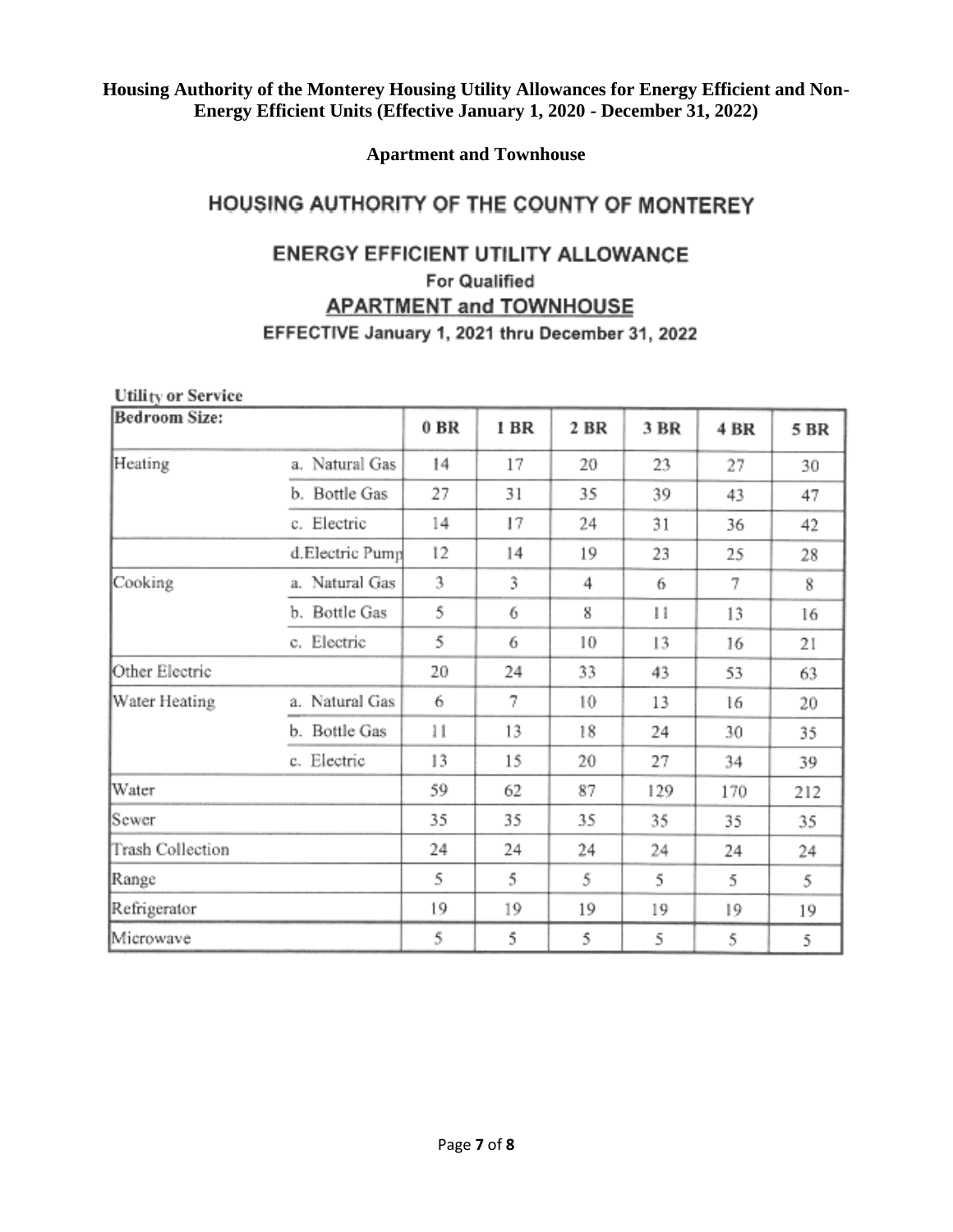**Apartment and Townhouse**

# HOUSING AUTHORITY OF THE COUNTY OF MONTEREY

# ENERGY EFFICIENT UTILITY ALLOWANCE

# **For Qualified**

# **APARTMENT and TOWNHOUSE**

# EFFECTIVE January 1, 2021 thru December 31, 2022

| <b>Utility or Service</b> |                 |        |      |      |      |      |      |
|---------------------------|-----------------|--------|------|------|------|------|------|
| Bedroom Size:             |                 | $0$ BR | 1 BR | 2 BR | 3 BR | 4 BR | 5 BR |
| Heating                   | a. Natural Gas  | 14     | 17   | 20   | 23   | 27   | 30   |
|                           | b. Bottle Gas   | 27     | 31   | 35   | 39   | 43   | 47   |
|                           | c. Electric     | 14     | 17   | 24   | 31   | 36   | 42   |
|                           | d.Electric Pump | 12     | 14   | 19   | 23   | 25   | 28   |
| Cooking                   | a. Natural Gas  | 3      | 3    | 4    | 6    | 7    | 8    |
|                           | b. Bottle Gas   | 5      | 6    | 8    | и    | 13   | 16   |
|                           | c. Electric     | 5      | 6    | 10   | 13   | 16   | 21   |
| Other Electric            |                 | 20     | 24   | 33   | 43   | 53   | 63   |
| Water Heating             | a. Natural Gas  | 6      | 7    | 10   | 13   | 16   | 20   |
|                           | b. Bottle Gas   | 11     | 13   | 18   | 24   | 30   | 35   |
|                           | c. Electric     | 13     | 15   | 20   | 27   | 34   | 39   |
| Water                     |                 | 59     | 62   | 87   | 129  | 170  | 212  |
| Sewer                     |                 | 35     | 35   | 35   | 35   | 35   | 35   |
| Trash Collection          |                 | 24     | 24   | 24   | 24   | 24   | 24   |
| Range                     |                 | 5      | 5    | 5    | 5    | 5    | 5    |
| Refrigerator              |                 | 19     | 19   | 19   | 19   | 19   | 19   |
| Microwave                 |                 | 5      | 5    | 5    | 5    | 5    | 5    |